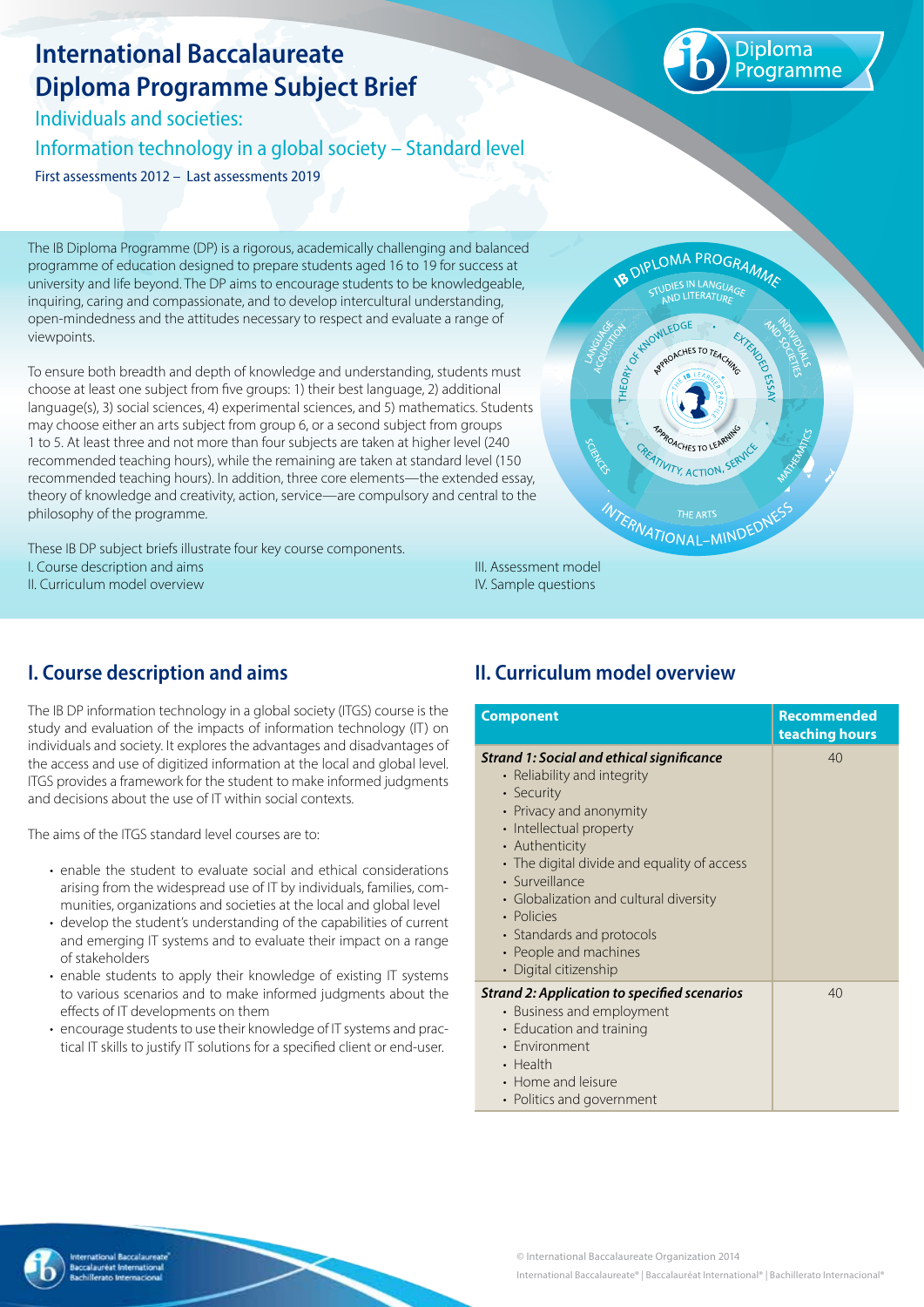# **International Baccalaureate Diploma Programme Subject Brief**

Individuals and societies: Information technology in a global society – Standard level First assessments 2012 – Last assessments 2019



The IB Diploma Programme (DP) is a rigorous, academically challenging and balanced programme of education designed to prepare students aged 16 to 19 for success at university and life beyond. The DP aims to encourage students to be knowledgeable, inquiring, caring and compassionate, and to develop intercultural understanding, open-mindedness and the attitudes necessary to respect and evaluate a range of viewpoints.

To ensure both breadth and depth of knowledge and understanding, students must choose at least one subject from five groups: 1) their best language, 2) additional language(s), 3) social sciences, 4) experimental sciences, and 5) mathematics. Students may choose either an arts subject from group 6, or a second subject from groups 1 to 5. At least three and not more than four subjects are taken at higher level (240 recommended teaching hours), while the remaining are taken at standard level (150 recommended teaching hours). In addition, three core elements—the extended essay, theory of knowledge and creativity, action, service—are compulsory and central to the philosophy of the programme.

These IB DP subject briefs illustrate four key course components. I. Course description and aims II. Curriculum model overview



**I. Course description and aims**

The IB DP information technology in a global society (ITGS) course is the study and evaluation of the impacts of information technology (IT) on individuals and society. It explores the advantages and disadvantages of the access and use of digitized information at the local and global level. ITGS provides a framework for the student to make informed judgments and decisions about the use of IT within social contexts.

The aims of the ITGS standard level courses are to:

- enable the student to evaluate social and ethical considerations arising from the widespread use of IT by individuals, families, communities, organizations and societies at the local and global level
- develop the student's understanding of the capabilities of current and emerging IT systems and to evaluate their impact on a range of stakeholders
- enable students to apply their knowledge of existing IT systems to various scenarios and to make informed judgments about the effects of IT developments on them
- encourage students to use their knowledge of IT systems and practical IT skills to justify IT solutions for a specified client or end-user.

## **II. Curriculum model overview**

IV. Sample questions

| <b>Component</b>                                                                                                                                                                                                                                                                                                                                                       | <b>Recommended</b><br>teaching hours |
|------------------------------------------------------------------------------------------------------------------------------------------------------------------------------------------------------------------------------------------------------------------------------------------------------------------------------------------------------------------------|--------------------------------------|
| Strand 1: Social and ethical significance<br>• Reliability and integrity<br>• Security<br>• Privacy and anonymity<br>• Intellectual property<br>• Authenticity<br>• The digital divide and equality of access<br>· Surveillance<br>• Globalization and cultural diversity<br>• Policies<br>• Standards and protocols<br>• People and machines<br>• Digital citizenship | 40                                   |
| Strand 2: Application to specified scenarios<br>• Business and employment<br>• Education and training<br>• Environment<br>• Health<br>• Home and leisure<br>• Politics and government                                                                                                                                                                                  | 40                                   |